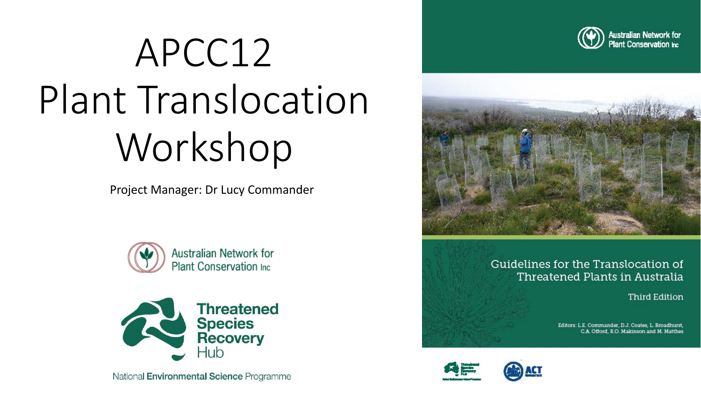# APCC12 Plant Translocation Workshop

Project Manager: Dr Lucy Commander





National Environmental Science Programme





Guidelines for the Translocation of Threatened Plants in Australia

**Third Edition** 

Editors: L.E. Commander, D.J. Coates, L. Broadhurst, C.A. Offord, R.O. Makinson and M. Matthes



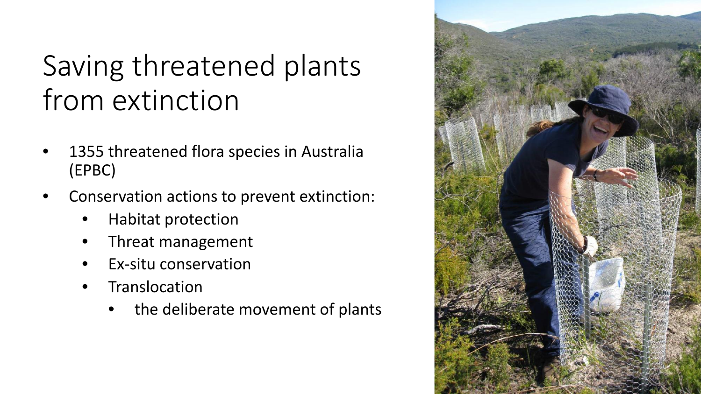### Saving threatened plants from extinction

- 1355 threatened flora species in Australia (EPBC)
- Conservation actions to prevent extinction:
	- Habitat protection
	- Threat management
	- Ex-situ conservation
	- **Translocation** 
		- the deliberate movement of plants

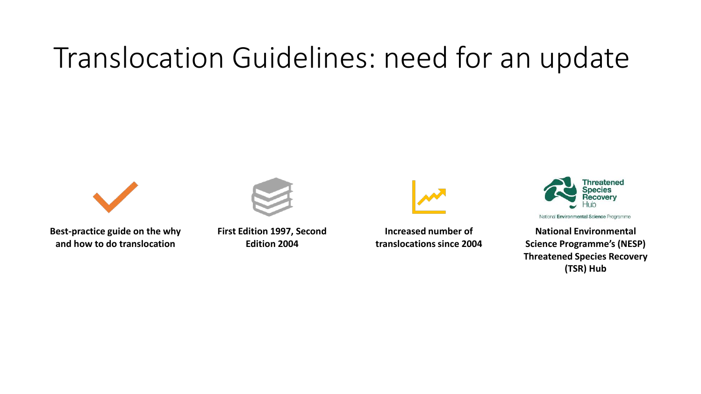#### Translocation Guidelines: need for an update



**Best-practice guide on the why and how to do translocation**

**First Edition 1997, Second Edition 2004**



**Increased number of translocations since 2004**



National Environmental Science Programme

**National Environmental Science Programme's (NESP) Threatened Species Recovery (TSR) Hub**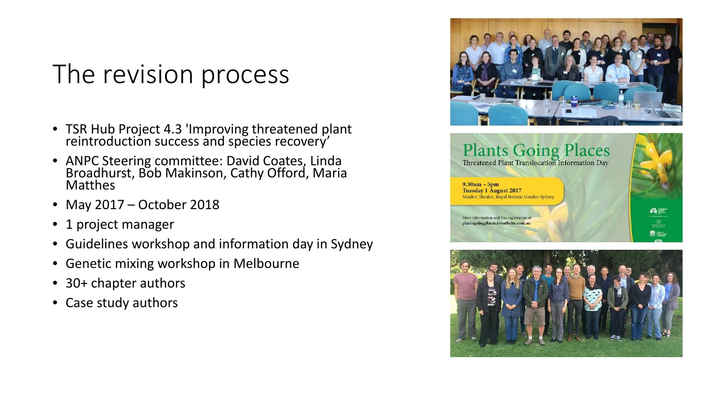#### The revision process

- TSR Hub Project 4.3 'Improving threatened plant reintroduction success and species recovery'
- ANPC Steering committee: David Coates, Linda Broadhurst, Bob Makinson, Cathy Offord, Maria Matthes
- May 2017 October 2018
- 1 project manager
- Guidelines workshop and information day in Sydney
- Genetic mixing workshop in Melbourne
- 30+ chapter authors
- Case study authors





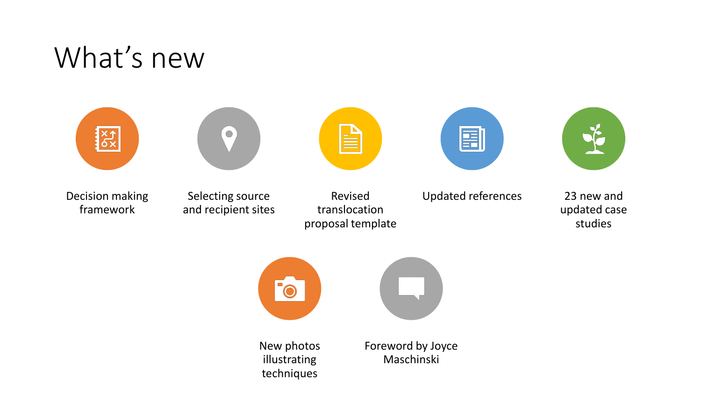#### What's new







Selecting source and recipient sites



Revised translocation proposal template

| _ |  |
|---|--|
|   |  |



Updated references 23 new and

updated case studies



New photos illustrating techniques

Foreword by Joyce Maschinski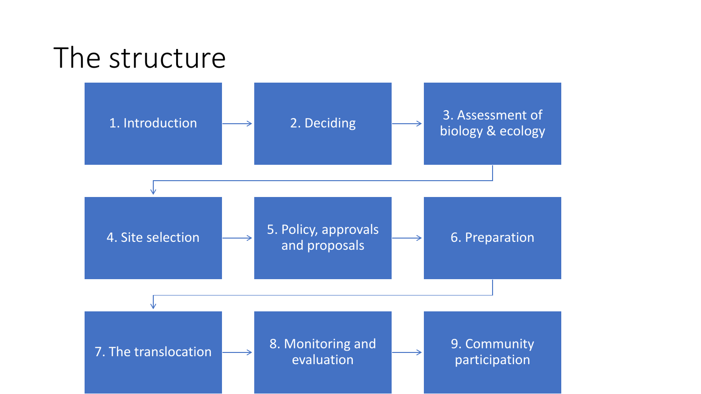# The structure 1. Introduction  $\longrightarrow$  2. Deciding  $\longrightarrow$  3. Assessment of biology & ecology 4. Site selection 5. Policy, approvals and proposals **Figure 2.** 6. Preparation 7. The translocation  $\longrightarrow$  8. Monitoring and evaluation 9. Community participation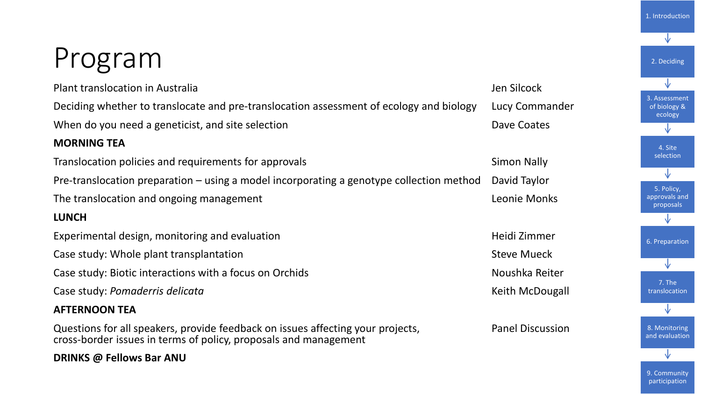# Program

| Plant translocation in Australia                                                                                                                    | Jen Silcock             |
|-----------------------------------------------------------------------------------------------------------------------------------------------------|-------------------------|
| Deciding whether to translocate and pre-translocation assessment of ecology and biology                                                             | Lucy Commander          |
| When do you need a geneticist, and site selection                                                                                                   | Dave Coates             |
| <b>MORNING TEA</b>                                                                                                                                  |                         |
| Translocation policies and requirements for approvals                                                                                               | <b>Simon Nally</b>      |
| Pre-translocation preparation – using a model incorporating a genotype collection method                                                            | David Taylor            |
| The translocation and ongoing management                                                                                                            | Leonie Monks            |
| <b>LUNCH</b>                                                                                                                                        |                         |
| Experimental design, monitoring and evaluation                                                                                                      | Heidi Zimmer            |
| Case study: Whole plant transplantation                                                                                                             | <b>Steve Mueck</b>      |
| Case study: Biotic interactions with a focus on Orchids                                                                                             | Noushka Reiter          |
| Case study: Pomaderris delicata                                                                                                                     | Keith McDougall         |
| <b>AFTERNOON TEA</b>                                                                                                                                |                         |
| Questions for all speakers, provide feedback on issues affecting your projects,<br>cross-border issues in terms of policy, proposals and management | <b>Panel Discussion</b> |
| DRINKS @ Fellows Bar ANU                                                                                                                            |                         |
|                                                                                                                                                     |                         |